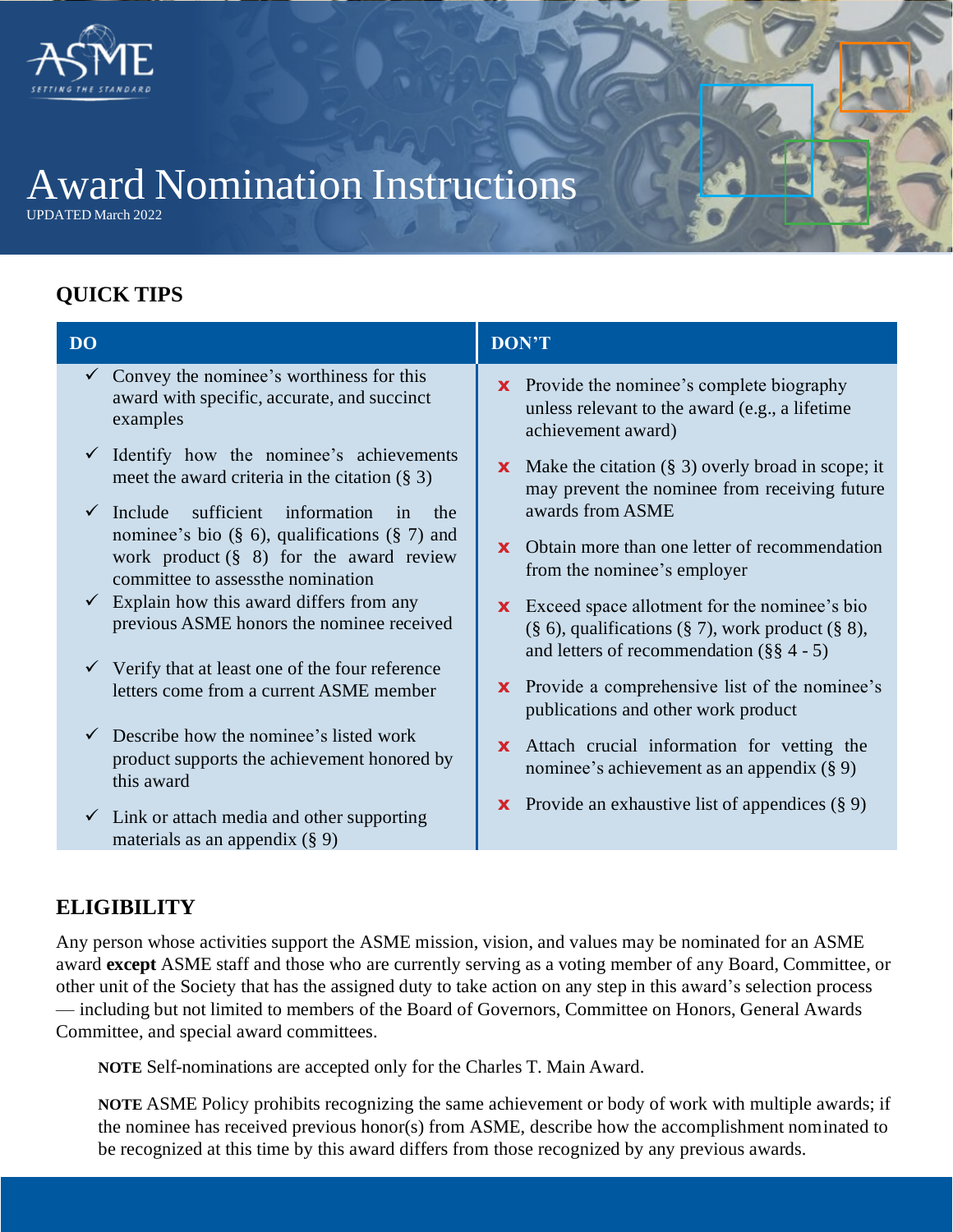

# Award Nomination Instructions

UPDATED March 2022

# **QUICK TIPS**

| <b>DO</b> |                                                                                                                                                                                                         | <b>DON'T</b>                                                                                                                                                           |
|-----------|---------------------------------------------------------------------------------------------------------------------------------------------------------------------------------------------------------|------------------------------------------------------------------------------------------------------------------------------------------------------------------------|
|           | $\checkmark$ Convey the nominee's worthiness for this<br>award with specific, accurate, and succinct<br>examples                                                                                        | Provide the nominee's complete biography<br>$\mathbf{x}$<br>unless relevant to the award (e.g., a lifetime<br>achievement award)                                       |
|           | Identify how the nominee's achievements<br>meet the award criteria in the citation $(\S 3)$                                                                                                             | <b>x</b> Make the citation $(\S$ 3) overly broad in scope; it<br>may prevent the nominee from receiving future                                                         |
|           | $\checkmark$ Include<br>sufficient information<br>in<br>the<br>nominee's bio $(\S 6)$ , qualifications $(\S 7)$ and<br>work product $(\S$ 8) for the award review<br>committee to assess the nomination | awards from ASME<br><b>x</b> Obtain more than one letter of recommendation<br>from the nominee's employer                                                              |
|           | $\checkmark$ Explain how this award differs from any<br>previous ASME honors the nominee received                                                                                                       | <b>x</b> Exceed space allotment for the nominee's bio<br>$(\S 6)$ , qualifications $(\S 7)$ , work product $(\S 8)$ ,<br>and letters of recommendation $(\S \S 4 - 5)$ |
|           | $\checkmark$ Verify that at least one of the four reference<br>letters come from a current ASME member                                                                                                  | Provide a comprehensive list of the nominee's<br>$\mathbf{x}$<br>publications and other work product                                                                   |
|           | $\checkmark$ Describe how the nominee's listed work<br>product supports the achievement honored by<br>this award                                                                                        | Attach crucial information for vetting the<br>$\mathbf{x}$<br>nominee's achievement as an appendix $(\S 9)$                                                            |
|           | $\checkmark$ Link or attach media and other supporting<br>materials as an appendix $(\S 9)$                                                                                                             | <b>x</b> Provide an exhaustive list of appendices $(\S 9)$                                                                                                             |

## **ELIGIBILITY**

Any person whose activities support the ASME mission, vision, and values may be nominated for an ASME award **except** ASME staff and those who are currently serving as a voting member of any Board, Committee, or other unit of the Society that has the assigned duty to take action on any step in this award's selection process — including but not limited to members of the Board of Governors, Committee on Honors, General Awards Committee, and special award committees.

**NOTE** Self-nominations are accepted only for the Charles T. Main Award.

**NOTE** ASME Policy prohibits recognizing the same achievement or body of work with multiple awards; if the nominee has received previous honor(s) from ASME, describe how the accomplishment nominated to be recognized at this time by this award differs from those recognized by any previous awards.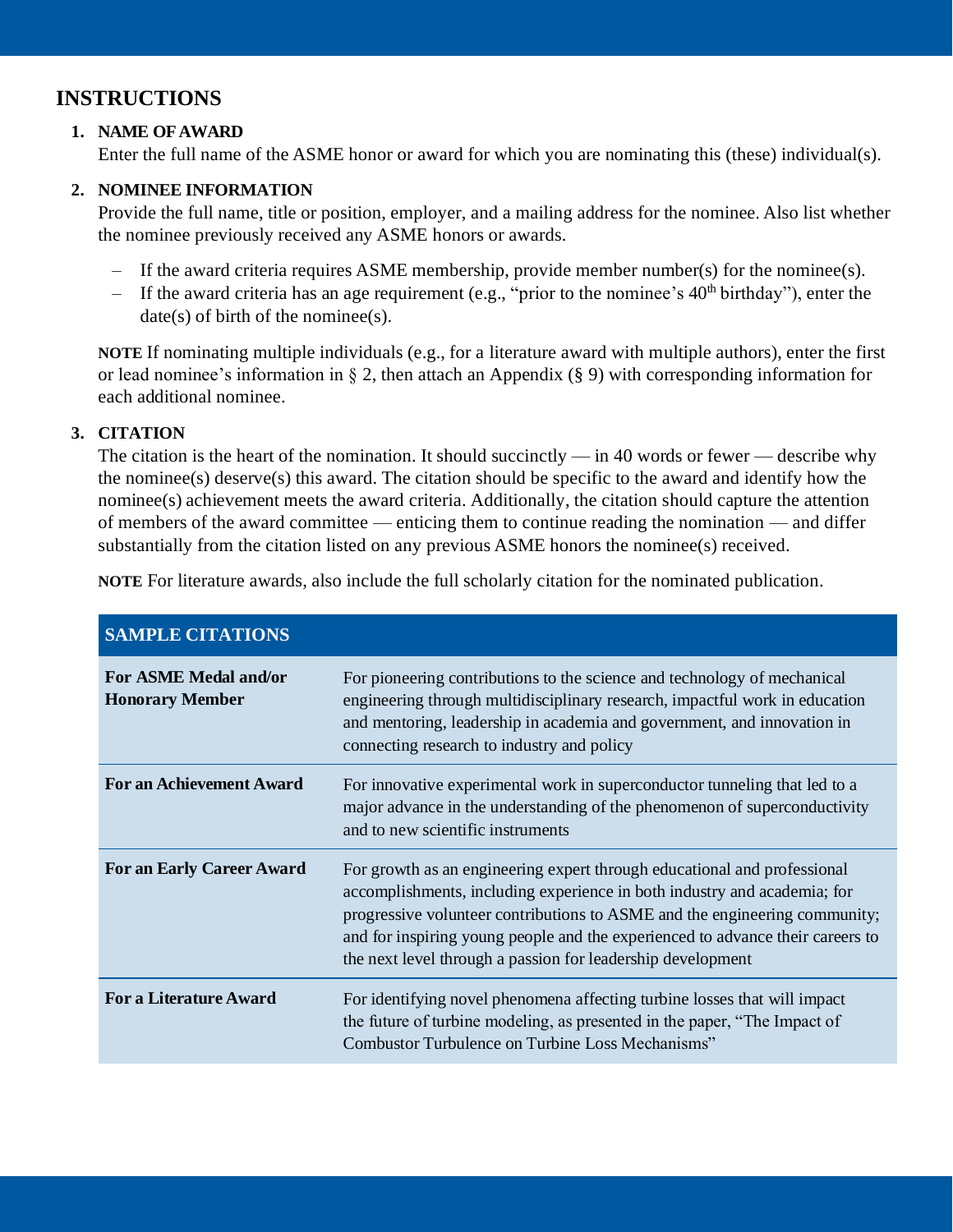### **INSTRUCTIONS**

#### **1. NAME OFAWARD**

Enter the full name of the ASME honor or award for which you are nominating this (these) individual(s).

#### **2. NOMINEE INFORMATION**

Provide the full name, title or position, employer, and a mailing address for the nominee. Also list whether the nominee previously received any ASME honors or awards.

- If the award criteria requires ASME membership, provide member number(s) for the nominee(s).
- If the award criteria has an age requirement (e.g., "prior to the nominee's  $40<sup>th</sup>$  birthday"), enter the  $date(s)$  of birth of the nominee(s).

**NOTE** If nominating multiple individuals (e.g., for a literature award with multiple authors), enter the first or lead nominee's information in § 2, then attach an Appendix (§ 9) with corresponding information for each additional nominee.

#### **3. CITATION**

The citation is the heart of the nomination. It should succinctly — in 40 words or fewer — describe why the nominee(s) deserve(s) this award. The citation should be specific to the award and identify how the nominee(s) achievement meets the award criteria. Additionally, the citation should capture the attention of members of the award committee — enticing them to continue reading the nomination — and differ substantially from the citation listed on any previous ASME honors the nominee(s) received.

**NOTE** For literature awards, also include the full scholarly citation for the nominated publication.

| <b>SAMPLE CITATIONS</b>                         |                                                                                                                                                                                                                                                                                                                                                                                     |  |
|-------------------------------------------------|-------------------------------------------------------------------------------------------------------------------------------------------------------------------------------------------------------------------------------------------------------------------------------------------------------------------------------------------------------------------------------------|--|
| For ASME Medal and/or<br><b>Honorary Member</b> | For pioneering contributions to the science and technology of mechanical<br>engineering through multidisciplinary research, impactful work in education<br>and mentoring, leadership in academia and government, and innovation in<br>connecting research to industry and policy                                                                                                    |  |
| <b>For an Achievement Award</b>                 | For innovative experimental work in superconductor tunneling that led to a<br>major advance in the understanding of the phenomenon of superconductivity<br>and to new scientific instruments                                                                                                                                                                                        |  |
| <b>For an Early Career Award</b>                | For growth as an engineering expert through educational and professional<br>accomplishments, including experience in both industry and academia; for<br>progressive volunteer contributions to ASME and the engineering community;<br>and for inspiring young people and the experienced to advance their careers to<br>the next level through a passion for leadership development |  |
| <b>For a Literature Award</b>                   | For identifying novel phenomena affecting turbine losses that will impact<br>the future of turbine modeling, as presented in the paper, "The Impact of<br>Combustor Turbulence on Turbine Loss Mechanisms"                                                                                                                                                                          |  |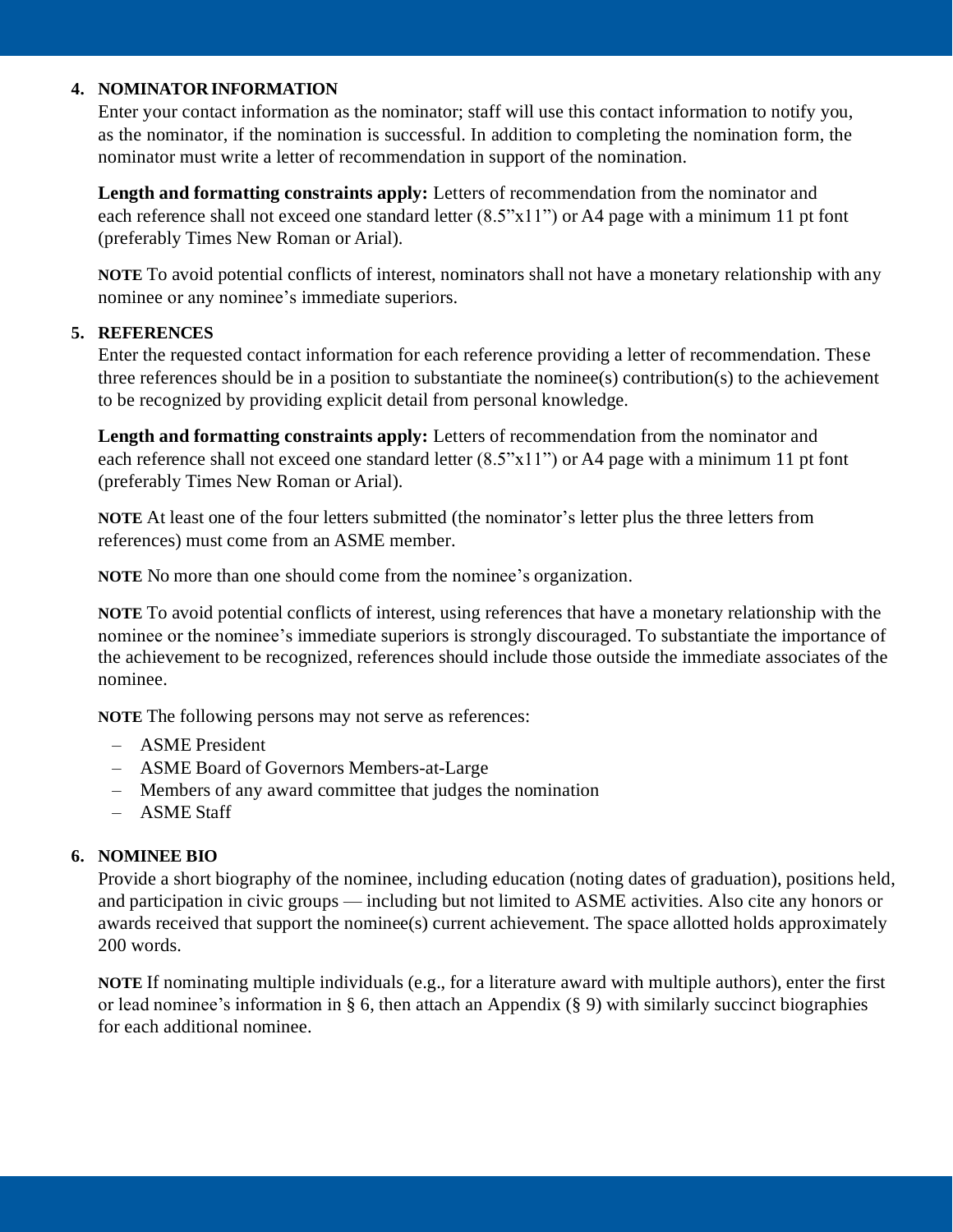#### **4. NOMINATOR INFORMATION**

Enter your contact information as the nominator; staff will use this contact information to notify you, as the nominator, if the nomination is successful. In addition to completing the nomination form, the nominator must write a letter of recommendation in support of the nomination.

**Length and formatting constraints apply:** Letters of recommendation from the nominator and each reference shall not exceed one standard letter  $(8.5"x11")$  or A4 page with a minimum 11 pt font (preferably Times New Roman or Arial).

**NOTE** To avoid potential conflicts of interest, nominators shall not have a monetary relationship with any nominee or any nominee's immediate superiors.

#### **5. REFERENCES**

Enter the requested contact information for each reference providing a letter of recommendation. These three references should be in a position to substantiate the nominee(s) contribution(s) to the achievement to be recognized by providing explicit detail from personal knowledge.

Length and formatting constraints apply: Letters of recommendation from the nominator and each reference shall not exceed one standard letter  $(8.5"x11")$  or A4 page with a minimum 11 pt font (preferably Times New Roman or Arial).

**NOTE** At least one of the four letters submitted (the nominator's letter plus the three letters from references) must come from an ASME member.

**NOTE** No more than one should come from the nominee's organization.

**NOTE** To avoid potential conflicts of interest, using references that have a monetary relationship with the nominee or the nominee's immediate superiors is strongly discouraged. To substantiate the importance of the achievement to be recognized, references should include those outside the immediate associates of the nominee.

**NOTE** The following persons may not serve as references:

- ASME President
- ASME Board of Governors Members-at-Large
- Members of any award committee that judges the nomination
- ASME Staff

#### **6. NOMINEE BIO**

Provide a short biography of the nominee, including education (noting dates of graduation), positions held, and participation in civic groups — including but not limited to ASME activities. Also cite any honors or awards received that support the nominee(s) current achievement. The space allotted holds approximately 200 words.

**NOTE** If nominating multiple individuals (e.g., for a literature award with multiple authors), enter the first or lead nominee's information in § 6, then attach an Appendix  $(\S 9)$  with similarly succinct biographies for each additional nominee.